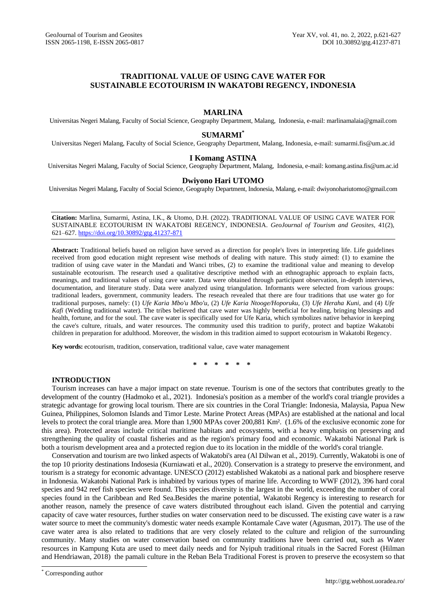# **TRADITIONAL VALUE OF USING CAVE WATER FOR SUSTAINABLE ECOTOURISM IN WAKATOBI REGENCY, INDONESIA**

## **MARLINA**

Universitas Negeri Malang, Faculty of Social Science, Geography Department, Malang, Indonesia, e-mail: marlinamalaia@gmail.com

### **SUMARMI\***

Universitas Negeri Malang, Faculty of Social Science, Geography Department, Malang, Indonesia, e-mail: [sumarmi.fis@um.ac.id](mailto:sumarmi.fis@um.ac.id)

## **I Komang ASTINA**

Universitas Negeri Malang, Faculty of Social Science, Geography Department, Malang, Indonesia, e-mail: komang.astina.fis@um.ac.id

## **Dwiyono Hari UTOMO**

Universitas Negeri Malang, Faculty of Social Science, Geography Department, Indonesia, Malang, e-mail: dwiyonohariutomo@gmail.com

**Citation:** Marlina, Sumarmi, Astina, I.K., & Utomo, D.H. (2022). TRADITIONAL VALUE OF USING CAVE WATER FOR SUSTAINABLE ECOTOURISM IN WAKATOBI REGENCY, INDONESIA. *GeoJournal of Tourism and Geosites*, 41(2), 621–627. <https://doi.org/10.30892/gtg.41237-871>

**Abstract:** Traditional beliefs based on religion have served as a direction for people's lives in interpreting life. Life guidelines received from good education might represent wise methods of dealing with nature. This study aimed: (1) to examine the tradition of using cave water in the Mandati and Wanci tribes, (2) to examine the traditional value and meaning to develop sustainable ecotourism. The research used a qualitative descriptive method with an ethnographic approach to explain facts, meanings, and traditional values of using cave water. Data were obtained through participant observation, in-depth interviews, documentation, and literature study. Data were analyzed using triangulation. Informants were selected from various groups: traditional leaders, government, community leaders. The reseach revealed that there are four traditions that use water go for traditional purposes, namely: (1) *Ufe Karia Mbo'u Mbo'u,* (2) *Ufe Karia Ntooge/Hoporuku,* (3) *Ufe Heraha Kuni*, and (4) *Ufe Kafi* (Wedding traditional water). The tribes believed that cave water was highly beneficial for healing, bringing blessings and health, fortune, and for the soul. The cave water is specifically used for Ufe Karia, which symbolizes native behavior in keeping the cave's culture, rituals, and water resources. The community used this tradition to purify, protect and baptize Wakatobi children in preparation for adulthood. Moreover, the wisdom in this tradition aimed to support ecotourism in Wakatobi Regency.

**Key words:** ecotourism, tradition, conservation, traditional value, cave water management

**\* \* \* \* \* \***

## **INTRODUCTION**

Tourism increases can have a major impact on state revenue. Tourism is one of the sectors that contributes greatly to the development of the country (Hadmoko et al., 2021). Indonesia's position as a member of the world's coral triangle provides a strategic advantage for growing local tourism. There are six countries in the Coral Triangle: Indonesia, Malaysia, Papua New Guinea, Philippines, Solomon Islands and Timor Leste. Marine Protect Areas (MPAs) are established at the national and local levels to protect the coral triangle area. More than 1,900 MPAs cover 200,881 Km². (1.6% of the exclusive economic zone for this area). Protected areas include critical maritime habitats and ecosystems, with a heavy emphasis on preserving and strengthening the quality of coastal fisheries and as the region's primary food and economic. Wakatobi National Park is both a tourism development area and a protected region due to its location in the middle of the world's coral triangle.

Conservation and tourism are two linked aspects of Wakatobi's area (Al Dilwan et al., 2019). Currently, Wakatobi is one of the top 10 priority destinations Indosesia (Kurniawati et al., 2020). Conservation is a strategy to preserve the environment, and tourism is a strategy for economic advantage. UNESCO (2012) established Wakatobi as a national park and biosphere reserve in Indonesia. Wakatobi National Park is inhabited by various types of marine life. According to WWF (2012), 396 hard coral species and 942 reef fish species were found. This species diversity is the largest in the world, exceeding the number of coral species found in the Caribbean and Red Sea.Besides the marine potential, Wakatobi Regency is interesting to research for another reason, namely the presence of cave waters distributed throughout each island. Given the potential and carrying capacity of cave water resources, further studies on water conservation need to be discussed. The existing cave water is a raw water source to meet the community's domestic water needs example Kontamale Cave water (Agusman, 2017). The use of the cave water area is also related to traditions that are very closely related to the culture and religion of the surrounding community. Many studies on water conservation based on community traditions have been carried out, such as Water resources in Kampung Kuta are used to meet daily needs and for Nyipuh traditional rituals in the Sacred Forest (Hilman and Hendriawan, 2018) the pamali culture in the Reban Bela Traditional Forest is proven to preserve the ecosystem so that

 $\overline{\phantom{a}}$ 

<sup>\*</sup> Corresponding author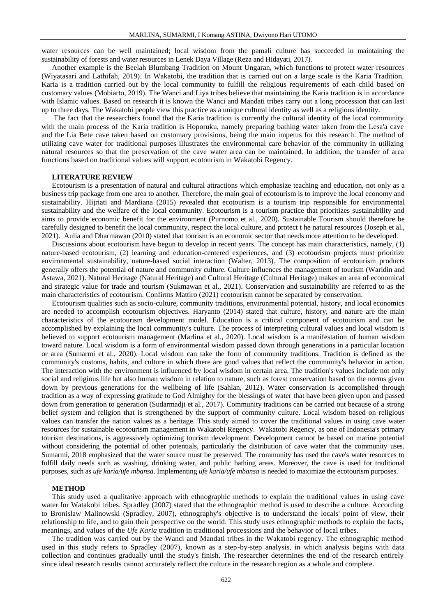water resources can be well maintained; local wisdom from the pamali culture has succeeded in maintaining the sustainability of forests and water resources in Lenek Daya Village (Reza and Hidayati, 2017).

Another example is the Beelah Blumbang Tradition on Mount Ungaran, which functions to protect water resources (Wiyatasari and Lathifah, 2019). In Wakatobi, the tradition that is carried out on a large scale is the Karia Tradition. Karia is a tradition carried out by the local community to fulfill the religious requirements of each child based on customary values (Mobiarto, 2019). The Wanci and Liya tribes believe that maintaining the Karia tradition is in accordance with Islamic values. Based on research it is known the Wanci and Mandati tribes carry out a long procession that can last up to three days. The Wakatobi people view this practice as a unique cultural identity as well as a religious identity.

The fact that the researchers found that the Karia tradition is currently the cultural identity of the local community with the main process of the Karia tradition is Hoporuku, namely preparing bathing water taken from the Lesa'a cave and the Lia Bete cave taken based on customary provisions, being the main impetus for this research. The method of utilizing cave water for traditional purposes illustrates the environmental care behavior of the community in utilizing natural resources so that the preservation of the cave water area can be maintained. In addition, the transfer of area functions based on traditional values will support ecotourism in Wakatobi Regency.

### **LITERATURE REVIEW**

Ecotourism is a presentation of natural and cultural attractions which emphasize teaching and education, not only as a business trip package from one area to another. Therefore, the main goal of ecotourism is to improve the local economy and sustainability. Hijriati and Mardiana (2015) revealed that ecotourism is a tourism trip responsible for environmental sustainability and the welfare of the local community. Ecotourism is a tourism practice that prioritizes sustainability and aims to provide economic benefit for the environment (Purnomo et al., 2020). Sustainable Tourism should therefore be carefully designed to benefit the local community, respect the local culture, and protect t he natural resources (Joseph et al., 2021). Aulia and Dharmawan (2010) stated that tourism is an economic sector that needs more attention to be developed.

Discussions about ecotourism have begun to develop in recent years. The concept has main characteristics, namely, (1) nature-based ecotourism, (2) learning and education-centered experiences, and (3) ecotourism projects must prioritize environmental sustainability, nature-based social interaction (Walter, 2013). The composition of ecotourism products generally offers the potential of nature and community culture. Culture influences the management of tourism (Waridin and Astawa, 2021). Natural Heritage (Natural Heritage) and Cultural Heritage (Cultural Heritage) makes an area of economical and strategic value for trade and tourism (Sukmawan et al., 2021). Conservation and sustainability are referred to as the main characteristics of ecotourism. Confirms Mattiro (2021) ecotourism cannot be separated by conservation.

Ecotourism qualities such as socio-culture, community traditions, environmental potential, history, and local economics are needed to accomplish ecotourism objectives. Haryanto (2014) stated that culture, history, and nature are the main characteristics of the ecotourism development model. Education is a critical component of ecotourism and can be accomplished by explaining the local community's culture. The process of interpreting cultural values and local wisdom is believed to support ecotourism management (Marlina et al., 2020). Local wisdom is a manifestation of human wisdom toward nature. Local wisdom is a form of environmental wisdom passed down through generations in a particular location or area (Sumarmi et al., 2020). Local wisdom can take the form of community traditions. Tradition is defined as the community's customs, habits, and culture in which there are good values that reflect the community's behavior in action. The interaction with the environment is influenced by local wisdom in certain area. The tradition's values include not only social and religious life but also human wisdom in relation to nature, such as forest conservation based on the norms given down by previous generations for the wellbeing of life (Sahlan, 2012). Water conservation is accomplished through tradition as a way of expressing gratitude to God Almighty for the blessings of water that have been given upon and passed down from generation to generation (Sudarmadji et al., 2017). Community traditions can be carried out because of a strong belief system and religion that is strengthened by the support of community culture. Local wisdom based on religious values can transfer the nation values as a heritage. This study aimed to cover the traditional values in using cave water resources for sustainable ecotourism management in Wakatobi Regency. Wakatobi Regency, as one of Indonesia's primary tourism destinations, is aggressively optimizing tourism development. Development cannot be based on marine potential without considering the potential of other potentials, particularly the distribution of cave water that the community uses. Sumarmi, 2018 emphasized that the water source must be preserved. The community has used the cave's water resources to fulfill daily needs such as washing, drinking water, and public bathing areas. Moreover, the cave is used for traditional purposes, such as *ufe karia/ufe mbansa*. Implementing *ufe karia/ufe mbansa* is needed to maximize the ecotourism purposes.

#### **METHOD**

This study used a qualitative approach with ethnographic methods to explain the traditional values in using cave water for Watakobi tribes. Spradley (2007) stated that the ethnographic method is used to describe a culture. According to Bronislaw Malinowski (Spradley, 2007), ethnography's objective is to understand the locals' point of view, their relationship to life, and to gain their perspective on the world. This study uses ethnographic methods to explain the facts, meanings, and values of the *Ufe Karia* tradition in traditional processions and the behavior of local tribes.

The tradition was carried out by the Wanci and Mandati tribes in the Wakatobi regency. The ethnographic method used in this study refers to Spradley (2007), known as a step-by-step analysis, in which analysis begins with data collection and continues gradually until the study's finish. The researcher determines the end of the research entirely since ideal research results cannot accurately reflect the culture in the research region as a whole and complete.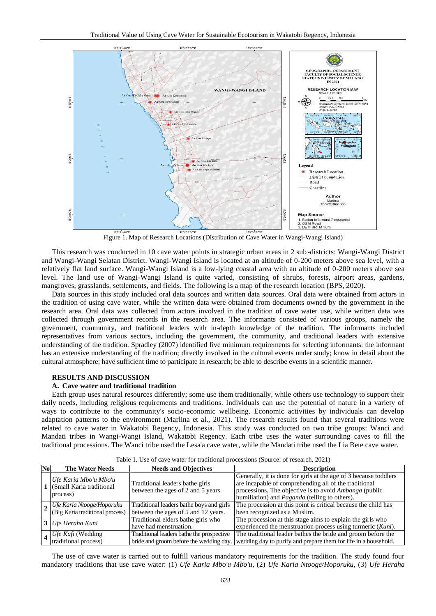

Figure 1. Map of Research Locations (Distribution of Cave Water in Wangi-Wangi Island)

This research was conducted in 10 cave water points in strategic urban areas in 2 sub-districts: Wangi-Wangi District and Wangi-Wangi Selatan District. Wangi-Wangi Island is located at an altitude of 0-200 meters above sea level, with a relatively flat land surface. Wangi-Wangi Island is a low-lying coastal area with an altitude of 0-200 meters above sea level. The land use of Wangi-Wangi Island is quite varied, consisting of shrubs, forests, airport areas, gardens, mangroves, grasslands, settlements, and fields. The following is a map of the research location (BPS, 2020).

Data sources in this study included oral data sources and written data sources. Oral data were obtained from actors in the tradition of using cave water, while the written data were obtained from documents owned by the government in the research area. Oral data was collected from actors involved in the tradition of cave water use, while written data was collected through government records in the research area. The informants consisted of various groups, namely the government, community, and traditional leaders with in-depth knowledge of the tradition. The informants included representatives from various sectors, including the government, the community, and traditional leaders with extensive understanding of the tradition. Spradley (2007) identified five minimum requirements for selecting informants: the informant has an extensive understanding of the tradition; directly involved in the cultural events under study; know in detail about the cultural atmosphere; have sufficient time to participate in research; be able to describe events in a scientific manner.

### **RESULTS AND DISCUSSION**

### **A. Cave water and traditional tradition**

Each group uses natural resources differently; some use them traditionally, while others use technology to support their daily needs, including religious requirements and traditions. Individuals can use the potential of nature in a variety of ways to contribute to the community's socio-economic wellbeing. Economic activities by individuals can develop adaptation patterns to the environment (Marlina et al., 2021). The research results found that several traditions were related to cave water in Wakatobi Regency, Indonesia. This study was conducted on two tribe groups: Wanci and Mandati tribes in Wangi-Wangi Island, Wakatobi Regency. Each tribe uses the water surrounding caves to fill the traditional processions. The Wanci tribe used the Lesa'a cave water, while the Mandati tribe used the Lia Bete cave water.

| N <sub>o</sub> | <b>The Water Needs</b>                                                     | <b>Needs and Objectives</b>                                                     | <b>Description</b>                                                                                                                                                                                                                                 |  |
|----------------|----------------------------------------------------------------------------|---------------------------------------------------------------------------------|----------------------------------------------------------------------------------------------------------------------------------------------------------------------------------------------------------------------------------------------------|--|
|                | Ufe Karia Mbo'u Mbo'u<br>1 (Small Karia traditional<br>process)            | Traditional leaders bathe girls<br>between the ages of 2 and 5 years.           | Generally, it is done for girls at the age of 3 because toddlers<br>are incapable of comprehending all of the traditional<br>processions. The objective is to avoid <i>Ambanga</i> (public<br>humiliation) and <i>Paganda</i> (telling to others). |  |
|                | $\frac{1}{2}$ Ufe Karia Ntooge/Hoporuku<br>(Big Karia traditional process) | Traditional leaders bathe boys and girls<br>between the ages of 5 and 12 years. | The procession at this point is critical because the child has<br>been recognized as a Muslim.                                                                                                                                                     |  |
|                | <b>3</b> Ufe Heraha Kuni                                                   | Traditional elders bathe girls who<br>have had menstruation.                    | The procession at this stage aims to explain the girls who<br>experienced the menstruation process using turmeric (Kuni).                                                                                                                          |  |
|                | $\frac{1}{4}$ Ufe Kafi (Wedding<br>traditional process)                    | Traditional leaders bathe the prospective                                       | The traditional leader bathes the bride and groom before the<br>bride and groom before the wedding day. Wedding day to purify and prepare them for life in a household.                                                                            |  |

Table 1. Use of cave water for traditional processions (Source: of research, 2021)

The use of cave water is carried out to fulfill various mandatory requirements for the tradition. The study found four mandatory traditions that use cave water: (1) *Ufe Karia Mbo'u Mbo'u*, (2) *Ufe Karia Ntooge/Hoporuku*, (3) *Ufe Heraha*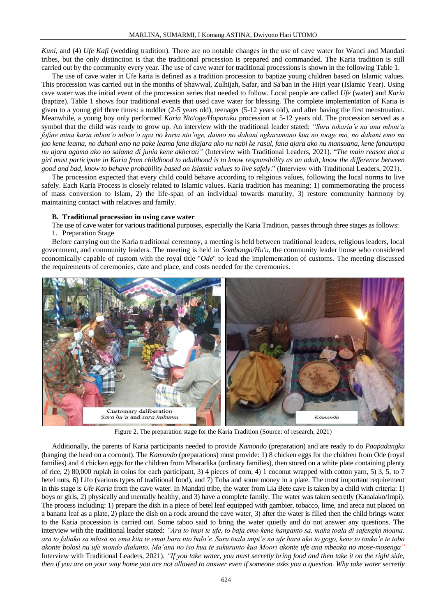*Kuni*, and (4) *Ufe Kafi* (wedding tradition). There are no notable changes in the use of cave water for Wanci and Mandati tribes, but the only distinction is that the traditional procession is prepared and commanded. The Karia tradition is still carried out by the community every year. The use of cave water for traditional processions is shown in the following Table 1.

The use of cave water in Ufe karia is defined as a tradition procession to baptize young children based on Islamic values. This procession was carried out in the months of Shawwal, Zulhijah, Safar, and Sa'ban in the Hijri year (Islamic Year). Using cave water was the initial event of the procession series that needed to follow. Local people are called *Ufe* (water) and *Karia* (baptize). Table 1 shows four traditional events that used cave water for blessing. The complete implementation of Karia is given to a young girl three times: a toddler (2-5 years old), teenager (5-12 years old), and after having the first menstruation. Meanwhile, a young boy only performed *Karia Nto'oge/Hoporuku* procession at 5-12 years old. The procession served as a symbol that the child was ready to grow up. An interview with the traditional leader stated: *"Suru tokaria'e na ana mbou'u fofine mina karia mbou'o mbou'o apa no karia nto'oge, daimo no dahani ngkaramano kua no tooge mo, no dahani emo na jao kene leama, no dahani emo na pake leama fana diajara ako nu nabi ke rasul, fana ajara ako nu mansuana, kene fanaumpa nu ajara agama ako no salama di junia kene akherati"* (Interview with Traditional Leaders, 2021). "*The main reason that a girl must participate in Karia from childhood to adulthood is to know responsibility as an adult, know the difference between good and bad, know to behave probability based on Islamic values to live safely*." (Interview with Traditional Leaders, 2021).

The procession expected that every child could behave according to religious values, following the local norms to live safely. Each Karia Process is closely related to Islamic values. Karia tradition has meaning: 1) commemorating the process of mass conversion to Islam, 2) the life-span of an individual towards maturity, 3) restore community harmony by maintaining contact with relatives and family.

#### **B. Traditional procession in using cave water**

The use of cave water for various traditional purposes, especially the Karia Tradition, passes through three stages as follows: 1. Preparation Stage

Before carrying out the Karia traditional ceremony, a meeting is held between traditional leaders, religious leaders, local government, and community leaders. The meeting is held in *Sombonga/Hu'u*, the community leader house who considered economically capable of custom with the royal title "*Ode*" to lead the implementation of customs. The meeting discussed the requirements of ceremonies, date and place, and costs needed for the ceremonies.



Figure 2. The preparation stage for the Karia Tradition (Source: of research, 2021)

Additionally, the parents of Karia participants needed to provide *Kamondo* (preparation) and are ready to do *Paapadangku* (banging the head on a coconut). The *Kamondo* (preparations) must provide: 1) 8 chicken eggs for the children from Ode (royal families) and 4 chicken eggs for the children from Mbaradika (ordinary families), then stored on a white plate containing plenty of rice, 2) 80,000 rupiah in coins for each participant, 3) 4 pieces of corn, 4) 1 coconut wrapped with cotton yarn, 5) 3, 5, to 7 betel nuts, 6) Lifo (various types of traditional food), and 7) Toba and some money in a plate. The most important requirement in this stage is *Ufe Karia* from the cave water. In Mandati tribe, the water from Lia Bete cave is taken by a child with criteria: 1) boys or girls, 2) physically and mentally healthy, and 3) have a complete family. The water was taken secretly (Kanalako/Impi). The process including: 1) prepare the dish in a piece of betel leaf equipped with gambier, tobacco, lime, and areca nut placed on a banana leaf as a plate, 2) place the dish on a rock around the cave water, 3) after the water is filled then the child brings water to the Karia procession is carried out. Some taboo said to bring the water quietly and do not answer any questions. The interview with the traditional leader stated: *"Ara to impi te ufe, to bafa emo kene hanganto sa, maka toala di safengka moana, ara to faliako sa mbisa no ema kita te emai bara nto balo'e. Suru toala impi'e na ufe bara ako to gogo, kene to tauko'e te toba akonte bolosi nu ufe mondo dialanto. Ma'ana no iso kua te sukurunto kua Moori akonte ufe ana mbeaka no mose-mosenga"* Interview with Traditional Leaders, 2021). *"If you take water, you must secretly bring food and then take it on the right side, then if you are on your way home you are not allowed to answer even if someone asks you a question. Why take water secretly*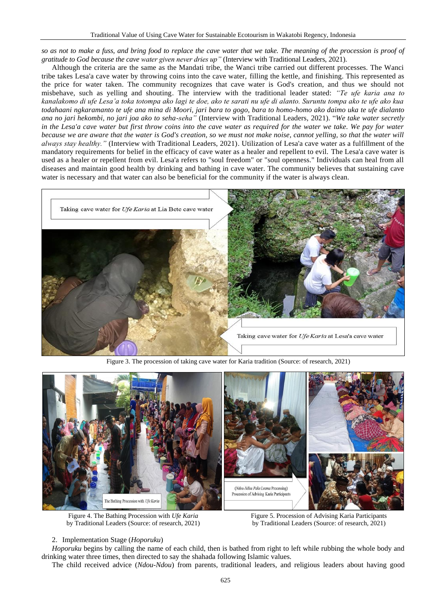*so as not to make a fuss, and bring food to replace the cave water that we take. The meaning of the procession is proof of gratitude to God because the cave water given never dries up"* (Interview with Traditional Leaders, 2021).

Although the criteria are the same as the Mandati tribe, the Wanci tribe carried out different processes. The Wanci tribe takes Lesa'a cave water by throwing coins into the cave water, filling the kettle, and finishing. This represented as the price for water taken. The community recognizes that cave water is God's creation, and thus we should not misbehave, such as yelling and shouting. The interview with the traditional leader stated: *"Te ufe karia ana to kanalakomo di ufe Lesa'a toka totompa ako lagi te doe, ako te sarati nu ufe di alanto. Suruntu tompa ako te ufe ako kua todahaani ngkaramanto te ufe ana mina di Moori, jari bara to gogo, bara to homo-homo ako daimo uka te ufe dialanto ana no jari hekombi, no jari joa ako to seha-seha"* (Interview with Traditional Leaders, 2021). "*We take water secretly in the Lesa'a cave water but first throw coins into the cave water as required for the water we take. We pay for water because we are aware that the water is God's creation, so we must not make noise, cannot yelling, so that the water will always stay healthy."* (Interview with Traditional Leaders, 2021). Utilization of Lesa'a cave water as a fulfillment of the mandatory requirements for belief in the efficacy of cave water as a healer and repellent to evil. The Lesa'a cave water is used as a healer or repellent from evil. Lesa'a refers to "soul freedom" or "soul openness." Individuals can heal from all diseases and maintain good health by drinking and bathing in cave water. The community believes that sustaining cave water is necessary and that water can also be beneficial for the community if the water is always clean.



Figure 3. The procession of taking cave water for Karia tradition (Source: of research, 2021)



Figure 4. The Bathing Procession with *Ufe Karia* by Traditional Leaders (Source: of research, 2021)

Figure 5. Procession of Advising Karia Participants by Traditional Leaders (Source: of research, 2021)

## 2. Implementation Stage (*Hoporuku*)

*Hoporuku* begins by calling the name of each child, then is bathed from right to left while rubbing the whole body and drinking water three times, then directed to say the shahada following Islamic values.

The child received advice (*Ndou-Ndou*) from parents, traditional leaders, and religious leaders about having good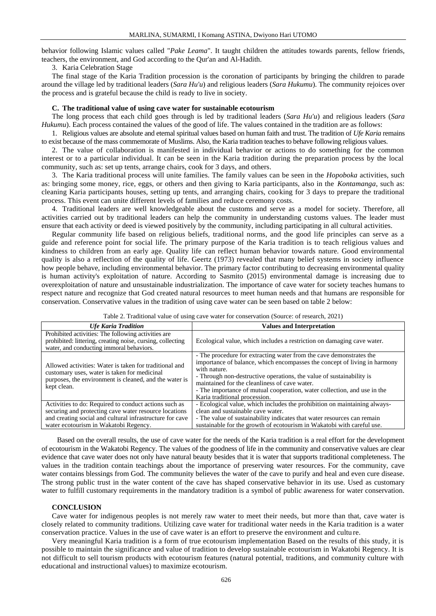behavior following Islamic values called "*Pake Leama*". It taught children the attitudes towards parents, fellow friends, teachers, the environment, and God according to the Qur'an and Al-Hadith.

3. Karia Celebration Stage

The final stage of the Karia Tradition procession is the coronation of participants by bringing the children to parade around the village led by traditional leaders (*Sara Hu'u*) and religious leaders (*Sara Hukumu*). The community rejoices over the process and is grateful because the child is ready to live in society.

#### **C. The traditional value of using cave water for sustainable ecotourism**

The long process that each child goes through is led by traditional leaders (*Sara Hu'u*) and religious leaders (*Sara Hukumu*). Each process contained the values of the good of life. The values contained in the tradition are as follows:

1. Religious values are absolute and eternal spiritual values based on human faith and trust. The tradition of *Ufe Karia* remains to exist because of the mass commemorate of Muslims. Also, the Karia tradition teaches to behave following religious values.

2. The value of collaboration is manifested in individual behavior or actions to do something for the common interest or to a particular individual. It can be seen in the Karia tradition during the preparation process by the local community, such as: set up tents, arrange chairs, cook for 3 days, and others.

3. The Karia traditional process will unite families. The family values can be seen in the *Hopoboka* activities, such as: bringing some money, rice, eggs, or others and then giving to Karia participants, also in the *Kontamanga*, such as: cleaning Karia participants houses, setting up tents, and arranging chairs, cooking for 3 days to prepare the traditional process. This event can unite different levels of families and reduce ceremony costs.

4. Traditional leaders are well knowledgeable about the customs and serve as a model for society. Therefore, all activities carried out by traditional leaders can help the community in understanding customs values. The leader must ensure that each activity or deed is viewed positively by the community, including participating in all cultural activities.

Regular community life based on religious beliefs, traditional norms, and the good life principles can serve as a guide and reference point for social life. The primary purpose of the Karia tradition is to teach religious values and kindness to children from an early age. Quality life can reflect human behavior towards nature. Good environmental quality is also a reflection of the quality of life. Geertz (1973) revealed that many belief systems in society influence how people behave, including environmental behavior. The primary factor contributing to decreasing environmental quality is human activity's exploitation of nature. According to Sasmito (2015) environmental damage is increasing due to overexploitation of nature and unsustainable industrialization. The importance of cave water for society teaches humans to respect nature and recognize that God created natural resources to meet human needs and that humans are responsible for conservation. Conservative values in the tradition of using cave water can be seen based on table 2 below:

| <b>Ufe Karia Tradition</b>                                                                                                                                                      | <b>Values and Interpretation</b>                                                                                                                                                                                                                                                                                                                                                                       |
|---------------------------------------------------------------------------------------------------------------------------------------------------------------------------------|--------------------------------------------------------------------------------------------------------------------------------------------------------------------------------------------------------------------------------------------------------------------------------------------------------------------------------------------------------------------------------------------------------|
| Prohibited activities: The following activities are<br>prohibited: littering, creating noise, cursing, collecting<br>water, and conducting immoral behaviors.                   | Ecological value, which includes a restriction on damaging cave water.                                                                                                                                                                                                                                                                                                                                 |
| Allowed activities: Water is taken for traditional and<br>customary uses, water is taken for medicinal<br>purposes, the environment is cleaned, and the water is<br>kept clean. | - The procedure for extracting water from the cave demonstrates the<br>importance of balance, which encompasses the concept of living in harmony<br>with nature.<br>- Through non-destructive operations, the value of sustainability is<br>maintained for the cleanliness of cave water.<br>- The importance of mutual cooperation, water collection, and use in the<br>Karia traditional procession. |
| Activities to do: Required to conduct actions such as<br>securing and protecting cave water resource locations                                                                  | - Ecological value, which includes the prohibition on maintaining always-<br>clean and sustainable cave water.                                                                                                                                                                                                                                                                                         |
| and creating social and cultural infrastructure for cave<br>water ecotourism in Wakatobi Regency.                                                                               | - The value of sustainability indicates that water resources can remain<br>sustainable for the growth of ecotourism in Wakatobi with careful use.                                                                                                                                                                                                                                                      |

Table 2. Traditional value of using cave water for conservation (Source: of research, 2021)

Based on the overall results, the use of cave water for the needs of the Karia tradition is a real effort for the development of ecotourism in the Wakatobi Regency. The values of the goodness of life in the community and conservative values are clear evidence that cave water does not only have natural beauty besides that it is water that supports traditional completeness. The values in the tradition contain teachings about the importance of preserving water resources. For the community, cave water contains blessings from God. The community believes the water of the cave to purify and heal and even cure disease. The strong public trust in the water content of the cave has shaped conservative behavior in its use. Used as customary water to fulfill customary requirements in the mandatory tradition is a symbol of public awareness for water conservation.

## **CONCLUSION**

Cave water for indigenous peoples is not merely raw water to meet their needs, but more than that, cave water is closely related to community traditions. Utilizing cave water for traditional water needs in the Karia tradition is a water conservation practice. Values in the use of cave water is an effort to preserve the environment and cultu re.

Very meaningful Karia tradition is a form of true ecotourism implementation Based on the results of this study, it is possible to maintain the significance and value of tradition to develop sustainable ecotourism in Wakatobi Regency. It is not difficult to sell tourism products with ecotourism features (natural potential, traditions, and community culture with educational and instructional values) to maximize ecotourism.